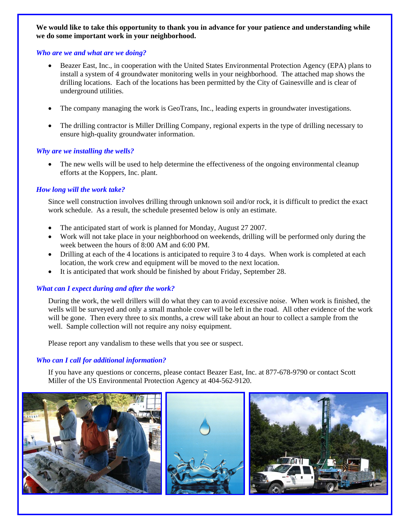**We would like to take this opportunity to thank you in advance for your patience and understanding while we do some important work in your neighborhood.** 

## *Who are we and what are we doing?*

- Beazer East, Inc., in cooperation with the United States Environmental Protection Agency (EPA) plans to install a system of 4 groundwater monitoring wells in your neighborhood. The attached map shows the drilling locations. Each of the locations has been permitted by the City of Gainesville and is clear of underground utilities.
- The company managing the work is GeoTrans, Inc., leading experts in groundwater investigations.
- The drilling contractor is Miller Drilling Company, regional experts in the type of drilling necessary to ensure high-quality groundwater information.

# *Why are we installing the wells?*

The new wells will be used to help determine the effectiveness of the ongoing environmental cleanup efforts at the Koppers, Inc. plant.

# *How long will the work take?*

Since well construction involves drilling through unknown soil and/or rock, it is difficult to predict the exact work schedule. As a result, the schedule presented below is only an estimate.

- The anticipated start of work is planned for Monday, August 27 2007.
- Work will not take place in your neighborhood on weekends, drilling will be performed only during the week between the hours of 8:00 AM and 6:00 PM.
- Drilling at each of the 4 locations is anticipated to require 3 to 4 days. When work is completed at each location, the work crew and equipment will be moved to the next location.
- It is anticipated that work should be finished by about Friday, September 28.

# *What can I expect during and after the work?*

During the work, the well drillers will do what they can to avoid excessive noise. When work is finished, the wells will be surveyed and only a small manhole cover will be left in the road. All other evidence of the work will be gone. Then every three to six months, a crew will take about an hour to collect a sample from the well. Sample collection will not require any noisy equipment.

Please report any vandalism to these wells that you see or suspect.

# *Who can I call for additional information?*

If you have any questions or concerns, please contact Beazer East, Inc. at 877-678-9790 or contact Scott Miller of the US Environmental Protection Agency at 404-562-9120.